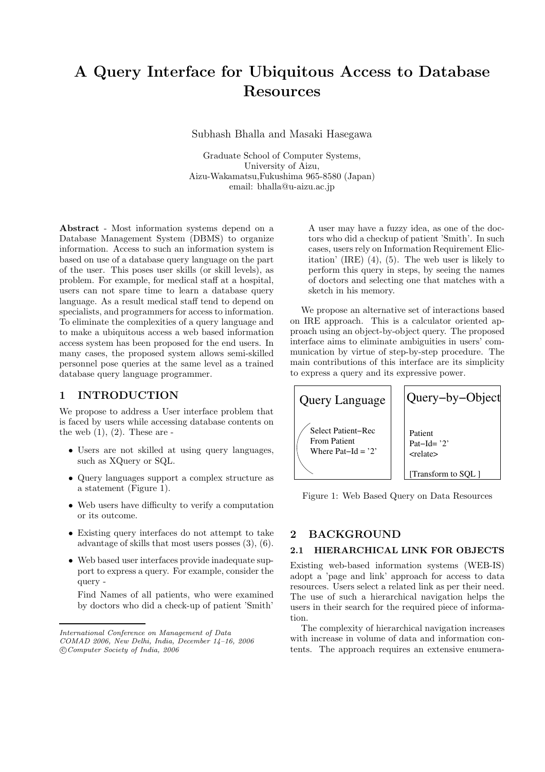# A Query Interface for Ubiquitous Access to Database Resources

Subhash Bhalla and Masaki Hasegawa

Graduate School of Computer Systems, University of Aizu, Aizu-Wakamatsu,Fukushima 965-8580 (Japan) email: bhalla@u-aizu.ac.jp

Abstract - Most information systems depend on a Database Management System (DBMS) to organize information. Access to such an information system is based on use of a database query language on the part of the user. This poses user skills (or skill levels), as problem. For example, for medical staff at a hospital, users can not spare time to learn a database query language. As a result medical staff tend to depend on specialists, and programmers for access to information. To eliminate the complexities of a query language and to make a ubiquitous access a web based information access system has been proposed for the end users. In many cases, the proposed system allows semi-skilled personnel pose queries at the same level as a trained database query language programmer.

# 1 INTRODUCTION

We propose to address a User interface problem that is faced by users while accessing database contents on the web  $(1), (2)$ . These are -

- Users are not skilled at using query languages, such as XQuery or SQL.
- Query languages support a complex structure as a statement (Figure 1).
- Web users have difficulty to verify a computation or its outcome.
- Existing query interfaces do not attempt to take advantage of skills that most users posses (3), (6).
- Web based user interfaces provide inadequate support to express a query. For example, consider the query -

Find Names of all patients, who were examined by doctors who did a check-up of patient 'Smith'

A user may have a fuzzy idea, as one of the doctors who did a checkup of patient 'Smith'. In such cases, users rely on Information Requirement Elicitation' (IRE) (4), (5). The web user is likely to perform this query in steps, by seeing the names of doctors and selecting one that matches with a sketch in his memory.

We propose an alternative set of interactions based on IRE approach. This is a calculator oriented approach using an object-by-object query. The proposed interface aims to eliminate ambiguities in users' communication by virtue of step-by-step procedure. The main contributions of this interface are its simplicity to express a query and its expressive power.



Figure 1: Web Based Query on Data Resources

# 2 BACKGROUND

#### 2.1 HIERARCHICAL LINK FOR OBJECTS

Existing web-based information systems (WEB-IS) adopt a 'page and link' approach for access to data resources. Users select a related link as per their need. The use of such a hierarchical navigation helps the users in their search for the required piece of information.

The complexity of hierarchical navigation increases with increase in volume of data and information contents. The approach requires an extensive enumera-

International Conference on Management of Data COMAD 2006, New Delhi, India, December 14–16, 2006 c Computer Society of India, 2006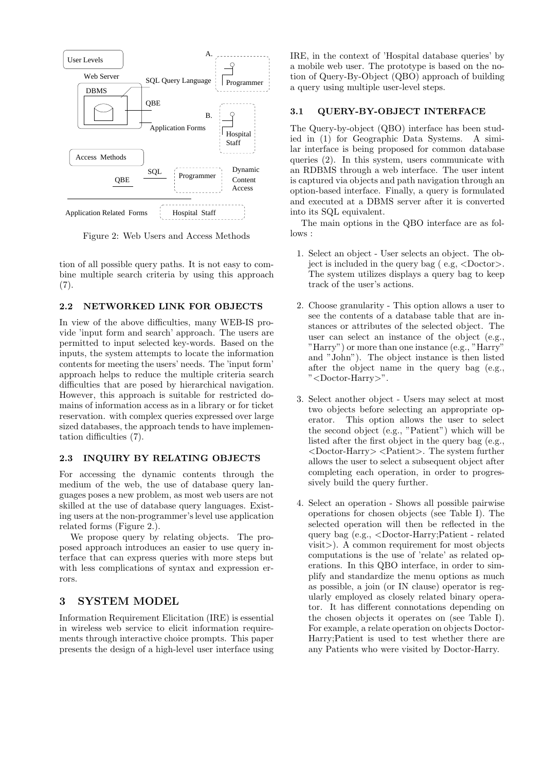

Figure 2: Web Users and Access Methods

tion of all possible query paths. It is not easy to combine multiple search criteria by using this approach  $(7).$ 

## 2.2 NETWORKED LINK FOR OBJECTS

In view of the above difficulties, many WEB-IS provide 'input form and search' approach. The users are permitted to input selected key-words. Based on the inputs, the system attempts to locate the information contents for meeting the users' needs. The 'input form' approach helps to reduce the multiple criteria search difficulties that are posed by hierarchical navigation. However, this approach is suitable for restricted domains of information access as in a library or for ticket reservation. with complex queries expressed over large sized databases, the approach tends to have implementation difficulties (7).

## 2.3 INQUIRY BY RELATING OBJECTS

For accessing the dynamic contents through the medium of the web, the use of database query languages poses a new problem, as most web users are not skilled at the use of database query languages. Existing users at the non-programmer's level use application related forms (Figure 2.).

We propose query by relating objects. The proposed approach introduces an easier to use query interface that can express queries with more steps but with less complications of syntax and expression errors.

## 3 SYSTEM MODEL

Information Requirement Elicitation (IRE) is essential in wireless web service to elicit information requirements through interactive choice prompts. This paper presents the design of a high-level user interface using IRE, in the context of 'Hospital database queries' by a mobile web user. The prototype is based on the notion of Query-By-Object (QBO) approach of building a query using multiple user-level steps.

#### 3.1 QUERY-BY-OBJECT INTERFACE

The Query-by-object (QBO) interface has been studied in (1) for Geographic Data Systems. A similar interface is being proposed for common database queries (2). In this system, users communicate with an RDBMS through a web interface. The user intent is captured via objects and path navigation through an option-based interface. Finally, a query is formulated and executed at a DBMS server after it is converted into its SQL equivalent.

The main options in the QBO interface are as follows :

- 1. Select an object User selects an object. The object is included in the query bag ( e.g, <Doctor>. The system utilizes displays a query bag to keep track of the user's actions.
- 2. Choose granularity This option allows a user to see the contents of a database table that are instances or attributes of the selected object. The user can select an instance of the object (e.g., "Harry") or more than one instance (e.g., "Harry" and "John"). The object instance is then listed after the object name in the query bag (e.g., "<Doctor-Harry>".
- 3. Select another object Users may select at most two objects before selecting an appropriate operator. This option allows the user to select the second object (e.g., "Patient") which will be listed after the first object in the query bag (e.g., <Doctor-Harry> <Patient>. The system further allows the user to select a subsequent object after completing each operation, in order to progressively build the query further.
- 4. Select an operation Shows all possible pairwise operations for chosen objects (see Table I). The selected operation will then be reflected in the query bag (e.g., <Doctor-Harry;Patient - related visit>). A common requirement for most objects computations is the use of 'relate' as related operations. In this QBO interface, in order to simplify and standardize the menu options as much as possible, a join (or IN clause) operator is regularly employed as closely related binary operator. It has different connotations depending on the chosen objects it operates on (see Table I). For example, a relate operation on objects Doctor-Harry;Patient is used to test whether there are any Patients who were visited by Doctor-Harry.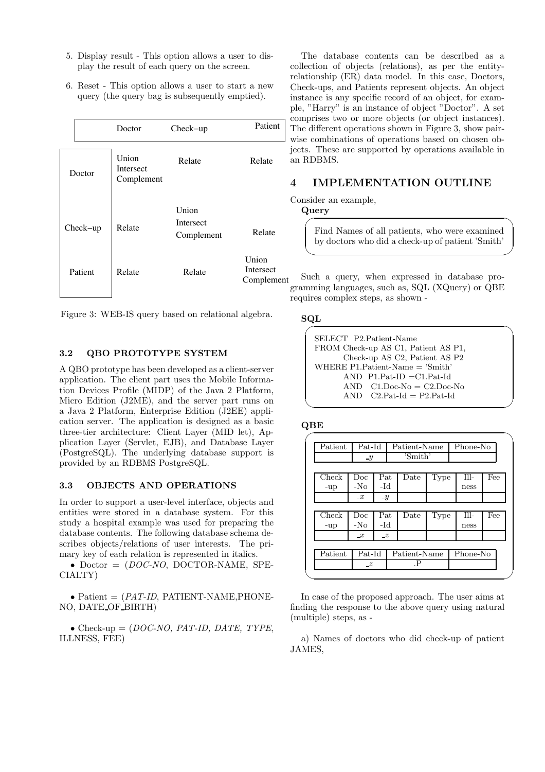- 5. Display result This option allows a user to display the result of each query on the screen.
- 6. Reset This option allows a user to start a new query (the query bag is subsequently emptied).

|        |          | Doctor                                  | Check-up                         | Patient                          |  |  |
|--------|----------|-----------------------------------------|----------------------------------|----------------------------------|--|--|
| Doctor |          | Union<br><b>Intersect</b><br>Complement | Relate                           | Relate                           |  |  |
|        | Check-up | Relate                                  | Union<br>Intersect<br>Complement | Relate                           |  |  |
|        | Patient  | Relate                                  | Relate                           | Union<br>Intersect<br>Complement |  |  |

The database contents can be described as a collection of objects (relations), as per the entityrelationship (ER) data model. In this case, Doctors, Check-ups, and Patients represent objects. An object instance is any specific record of an object, for example, "Harry" is an instance of object "Doctor". A set comprises two or more objects (or object instances). The different operations shown in Figure 3, show pairwise combinations of operations based on chosen objects. These are supported by operations available in an RDBMS.

# 4 IMPLEMENTATION OUTLINE

Consider an example,

Query  $\sqrt{2\pi}$ 

Find Names of all patients, who were examined by doctors who did a check-up of patient 'Smith'

✒ ✑

Figure 3: WEB-IS query based on relational algebra.

## 3.2 QBO PROTOTYPE SYSTEM

A QBO prototype has been developed as a client-server application. The client part uses the Mobile Information Devices Profile (MIDP) of the Java 2 Platform, Micro Edition (J2ME), and the server part runs on a Java 2 Platform, Enterprise Edition (J2EE) application server. The application is designed as a basic three-tier architecture: Client Layer (MID let), Application Layer (Servlet, EJB), and Database Layer (PostgreSQL). The underlying database support is provided by an RDBMS PostgreSQL.

## 3.3 OBJECTS AND OPERATIONS

In order to support a user-level interface, objects and entities were stored in a database system. For this study a hospital example was used for preparing the database contents. The following database schema describes objects/relations of user interests. The primary key of each relation is represented in italics.

• Doctor =  $(DOC-NO, DOCTOR-NAME, SPE-$ CIALTY)

• Patient  $=$   $(PAT-ID, PATIENT-NAME, PHONE-$ NO, DATE OF BIRTH)

• Check-up  $= (DOC-NO, PAT-ID, DATE, TYPE,$ ILLNESS, FEE)

Such a query, when expressed in database programming languages, such as, SQL (XQuery) or QBE requires complex steps, as shown -

**SOL**  $\sqrt{1 - \frac{1}{2}}$ 

```
SELECT P2.Patient-Name
FROM Check-up AS C1, Patient AS P1,
      Check-up AS C2, Patient AS P2
WHERE P1.Patient-Name = 'Smith'
      AND P1.Pat-ID =C1.Pat-Id
      AND C1.Doc-No = C2.Doc-NoAND C2.Pat-Id = P2.Pat-Id
```
✒ ✑

**QBE** 

| Patient |                   | Pat-Id        |  | Patient-Name |      | Phone-No |     |  |
|---------|-------------------|---------------|--|--------------|------|----------|-----|--|
|         |                   | $-y$          |  | 'Smith'      |      |          |     |  |
|         |                   |               |  |              |      |          |     |  |
| Check   | $_{\mathrm{Doc}}$ | Pat           |  | Date         | Type | TII-     | Fee |  |
| -up     | $-NO$             | -Id           |  |              |      | ness     |     |  |
|         | $\mathcal{L}$     | $-y$          |  |              |      |          |     |  |
|         |                   |               |  |              |      |          |     |  |
| Check   | Doc               | Pat           |  | Date         | Type | TII-     | Fee |  |
| -up     | $-No$             | -Id           |  |              |      | ness     |     |  |
|         | $\mathcal{X}$     | $\mathcal{Z}$ |  |              |      |          |     |  |
|         |                   |               |  |              |      |          |     |  |
| Patient |                   | Pat-Id        |  | Patient-Name |      | Phone-No |     |  |
|         |                   |               |  |              |      |          |     |  |

✒ ✑

In case of the proposed approach. The user aims at finding the response to the above query using natural (multiple) steps, as -

a) Names of doctors who did check-up of patient JAMES,